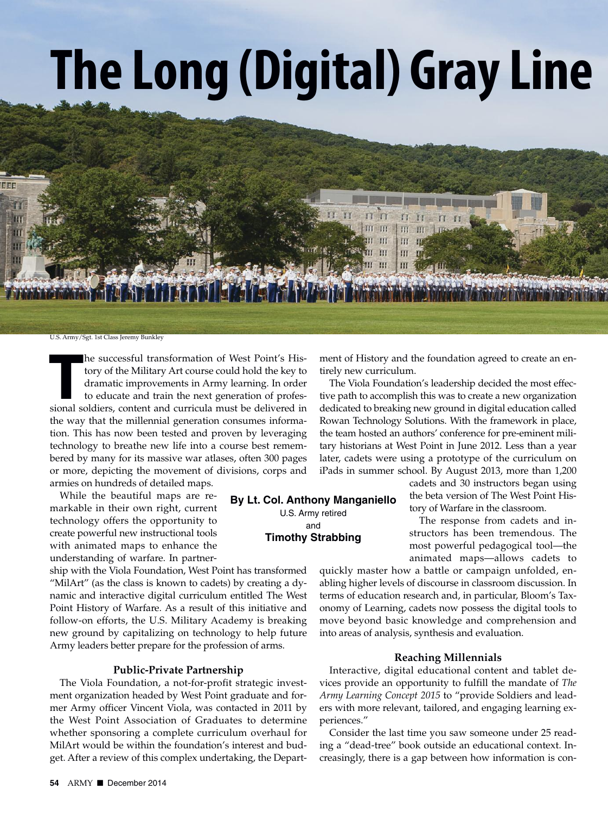# **The Long (Digital) GrayLine**

U.S. Army/Sgt. 1st Class Jeremy Bunkley

**THE SIMUST ENTER SOLUTE:** The successful transformation of West Point's History of the Military Art course could hold the key to dramatic improvements in Army learning. In order to educate and train the next generation of he successful transformation of West Point's History of the Military Art course could hold the key to dramatic improvements in Army learning. In order to educate and train the next generation of profesthe way that the millennial generation consumes information. This has now been tested and proven by leveraging technology to breathe new life into a course best remembered by many for its massive war atlases, often 300 pages or more, depicting the movement of divisions, corps and armies on hundreds of detailed maps.

While the beautiful maps are remarkable in their own right, current technology offers the opportunity to create powerful new instructional tools with animated maps to enhance the understanding of warfare. In partner-

ship with the Viola Foundation, West Point has transformed "MilArt" (as the class is known to cadets) by creating a dynamic and interactive digital curriculum entitled The West Point History of Warfare. As a result of this initiative and follow-on efforts, the U.S. Military Academy is breaking new ground by capitalizing on technology to help future Army leaders better prepare for the profession of arms.

#### **Public-Private Partnership**

The Viola Foundation, a not-for-profit strategic investment organization headed by West Point graduate and former Army officer Vincent Viola, was contacted in 2011 by the West Point Association of Graduates to determine whether sponsoring a complete curriculum overhaul for MilArt would be within the foundation's interest and budget. After a review of this complex undertaking, the Depart-

**By Lt. Col. Anthony Manganiello** U.S. Army retired

> and **Timothy Strabbing**

ment of History and the foundation agreed to create an entirely new curriculum.

m m m

The Viola Foundation's leadership decided the most effective path to accomplish this was to create a new organization dedicated to breaking new ground in digital education called Rowan Technology Solutions. With the framework in place, the team hosted an authors' conference for pre-eminent military historians at West Point in June 2012. Less than a year later, cadets were using a prototype of the curriculum on iPads in summer school. By August 2013, more than 1,200

cadets and 30 instructors began using the beta version of The West Point History of Warfare in the classroom.

The response from cadets and instructors has been tremendous. The most powerful pedagogical tool—the animated maps—allows cadets to

quickly master how a battle or campaign unfolded, enabling higher levels of discourse in classroom discussion. In terms of education research and, in particular, Bloom's Taxonomy of Learning, cadets now possess the digital tools to move beyond basic knowledge and comprehension and into areas of analysis, synthesis and evaluation.

### **Reaching Millennials**

Interactive, digital educational content and tablet devices provide an opportunity to fulfill the mandate of *The Army Learning Concept 2015* to "provide Soldiers and leaders with more relevant, tailored, and engaging learning experiences."

Consider the last time you saw someone under 25 reading a "dead-tree" book outside an educational context. Increasingly, there is a gap between how information is con-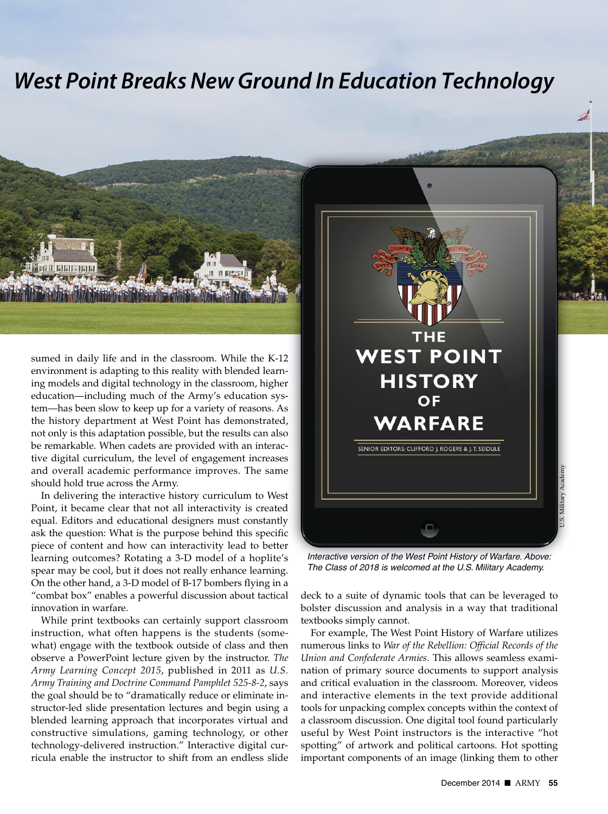## *West Point Breaks New Ground In Education Technology*



sumed in daily life and in the classroom. While the K-12 environment is adapting to this reality with blended learning models and digital technology in the classroom, higher education—including much of the Army's education system—has been slow to keep up for a variety of reasons. As the history department at West Point has demonstrated, not only is this adaptation possible, but the results can also be remarkable. When cadets are provided with an interactive digital curriculum, the level of engagement increases and overall academic performance improves. The same should hold true across the Army.

In delivering the interactive history curriculum to West Point, it became clear that not all interactivity is created equal. Editors and educational designers must constantly ask the question: What is the purpose behind this specific piece of content and how can interactivity lead to better learning outcomes? Rotating a 3-D model of a hoplite's spear may be cool, but it does not really enhance learning. On the other hand, a 3-D model of B-17 bombers flying in a "combat box" enables a powerful discussion about tactical innovation in warfare.

While print textbooks can certainly support classroom instruction, what often happens is the students (somewhat) engage with the textbook outside of class and then observe a PowerPoint lecture given by the instructor. *The Army Learning Concept 2015*, published in 2011 as *U.S. Army Training and Doctrine Command Pamphlet 525-8-2*, says the goal should be to "dramatically reduce or eliminate instructor-led slide presentation lectures and begin using a blended learning approach that incorporates virtual and constructive simulations, gaming technology, or other technology-delivered instruction." Interactive digital curricula enable the instructor to shift from an endless slide



*Interactive version of the West Point History of Warfare. Above: The Class of 2018 is welcomed at the U.S. Military Academy.*

deck to a suite of dynamic tools that can be leveraged to bolster discussion and analysis in a way that traditional textbooks simply cannot.

For example, The West Point History of Warfare utilizes numerous links to *War of the Rebellion: Official Records of the Union and Confederate Armies*. This allows seamless examination of primary source documents to support analysis and critical evaluation in the classroom. Moreover, videos and interactive elements in the text provide additional tools for unpacking complex concepts within the context of a classroom discussion. One digital tool found particularly useful by West Point instructors is the interactive "hot spotting" of artwork and political cartoons. Hot spotting important components of an image (linking them to other